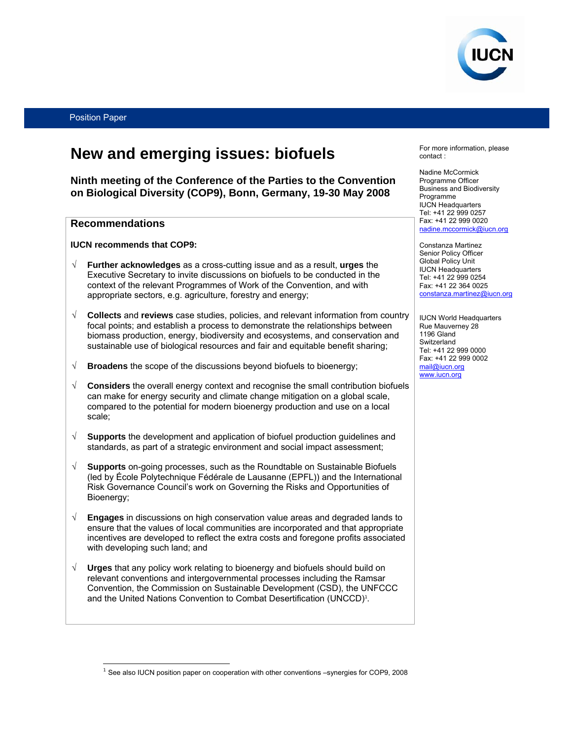

# **New and emerging issues: biofuels**

**Ninth meeting of the Conference of the Parties to the Convention on Biological Diversity (COP9), Bonn, Germany, 19-30 May 2008** 

### **Recommendations**

 $\overline{a}$ 

**IUCN recommends that COP9:** 

- √ **Further acknowledges** as a cross-cutting issue and as a result, **urges** the Executive Secretary to invite discussions on biofuels to be conducted in the context of the relevant Programmes of Work of the Convention, and with appropriate sectors, e.g. agriculture, forestry and energy;
- √ **Collects** and **reviews** case studies, policies, and relevant information from country focal points; and establish a process to demonstrate the relationships between biomass production, energy, biodiversity and ecosystems, and conservation and sustainable use of biological resources and fair and equitable benefit sharing;
- √ **Broadens** the scope of the discussions beyond biofuels to bioenergy;
- √ **Considers** the overall energy context and recognise the small contribution biofuels can make for energy security and climate change mitigation on a global scale, compared to the potential for modern bioenergy production and use on a local scale;
- √ **Supports** the development and application of biofuel production guidelines and standards, as part of a strategic environment and social impact assessment;
- √ **Supports** on-going processes, such as the Roundtable on Sustainable Biofuels (led by École Polytechnique Fédérale de Lausanne (EPFL)) and the International Risk Governance Council's work on Governing the Risks and Opportunities of Bioenergy;
- √ **Engages** in discussions on high conservation value areas and degraded lands to ensure that the values of local communities are incorporated and that appropriate incentives are developed to reflect the extra costs and foregone profits associated with developing such land; and
- √ **Urges** that any policy work relating to bioenergy and biofuels should build on relevant conventions and intergovernmental processes including the Ramsar Convention, the Commission on Sustainable Development (CSD), the UNFCCC and the United Nations Convention to Combat Desertification (UNCCD)<sup>1</sup>.

For more information, please contact :

Nadine McCormick Programme Officer Business and Biodiversity Programme IUCN Headquarters Tel: +41 22 999 0257 Fax: +41 22 999 0020 nadine.mccormick@iucn.org

Constanza Martinez Senior Policy Officer Global Policy Unit IUCN Headquarters Tel: +41 22 999 0254 Fax: +41 22 364 0025 constanza.martinez@iucn.org

IUCN World Headquarters Rue Mauverney 28 1196 Gland **Switzerland** Tel: +41 22 999 0000 Fax: +41 22 999 0002 mail@iucn.org www.iucn.org

<sup>&</sup>lt;sup>1</sup> See also IUCN position paper on cooperation with other conventions –synergies for COP9, 2008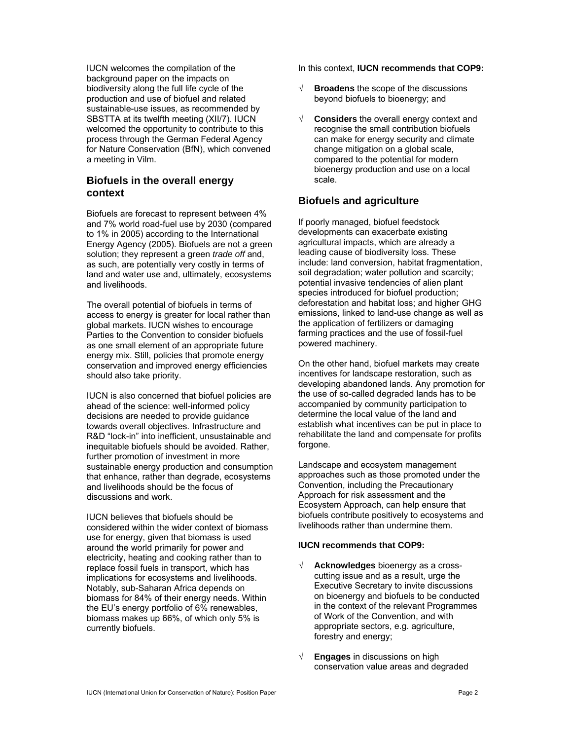IUCN welcomes the compilation of the background paper on the impacts on biodiversity along the full life cycle of the production and use of biofuel and related sustainable-use issues, as recommended by SBSTTA at its twelfth meeting (XII/7). IUCN welcomed the opportunity to contribute to this process through the German Federal Agency for Nature Conservation (BfN), which convened a meeting in Vilm.

## **Biofuels in the overall energy context**

Biofuels are forecast to represent between 4% and 7% world road-fuel use by 2030 (compared to 1% in 2005) according to the International Energy Agency (2005). Biofuels are not a green solution; they represent a green *trade off* and, as such, are potentially very costly in terms of land and water use and, ultimately, ecosystems and livelihoods.

The overall potential of biofuels in terms of access to energy is greater for local rather than global markets. IUCN wishes to encourage Parties to the Convention to consider biofuels as one small element of an appropriate future energy mix. Still, policies that promote energy conservation and improved energy efficiencies should also take priority.

IUCN is also concerned that biofuel policies are ahead of the science: well-informed policy decisions are needed to provide guidance towards overall objectives. Infrastructure and R&D "lock-in" into inefficient, unsustainable and inequitable biofuels should be avoided. Rather, further promotion of investment in more sustainable energy production and consumption that enhance, rather than degrade, ecosystems and livelihoods should be the focus of discussions and work.

IUCN believes that biofuels should be considered within the wider context of biomass use for energy, given that biomass is used around the world primarily for power and electricity, heating and cooking rather than to replace fossil fuels in transport, which has implications for ecosystems and livelihoods. Notably, sub-Saharan Africa depends on biomass for 84% of their energy needs. Within the EU's energy portfolio of 6% renewables, biomass makes up 66%, of which only 5% is currently biofuels.

In this context, **IUCN recommends that COP9:**

- √ **Broadens** the scope of the discussions beyond biofuels to bioenergy; and
- √ **Considers** the overall energy context and recognise the small contribution biofuels can make for energy security and climate change mitigation on a global scale, compared to the potential for modern bioenergy production and use on a local scale.

# **Biofuels and agriculture**

If poorly managed, biofuel feedstock developments can exacerbate existing agricultural impacts, which are already a leading cause of biodiversity loss. These include: land conversion, habitat fragmentation, soil degradation; water pollution and scarcity; potential invasive tendencies of alien plant species introduced for biofuel production; deforestation and habitat loss; and higher GHG emissions, linked to land-use change as well as the application of fertilizers or damaging farming practices and the use of fossil-fuel powered machinery.

On the other hand, biofuel markets may create incentives for landscape restoration, such as developing abandoned lands. Any promotion for the use of so-called degraded lands has to be accompanied by community participation to determine the local value of the land and establish what incentives can be put in place to rehabilitate the land and compensate for profits forgone.

Landscape and ecosystem management approaches such as those promoted under the Convention, including the Precautionary Approach for risk assessment and the Ecosystem Approach, can help ensure that biofuels contribute positively to ecosystems and livelihoods rather than undermine them.

### **IUCN recommends that COP9:**

- √ **Acknowledges** bioenergy as a crosscutting issue and as a result, urge the Executive Secretary to invite discussions on bioenergy and biofuels to be conducted in the context of the relevant Programmes of Work of the Convention, and with appropriate sectors, e.g. agriculture, forestry and energy;
- √ **Engages** in discussions on high conservation value areas and degraded